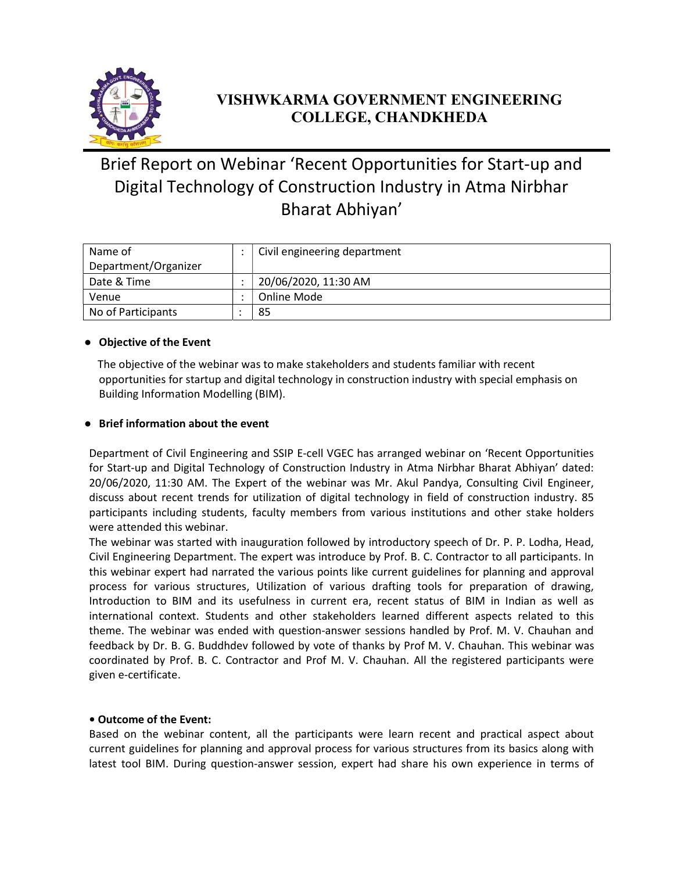

## VISHWKARMA GOVERNMENT ENGINEERING COLLEGE, CHANDKHEDA

# Brief Report on Webinar 'Recent Opportunities for Start-up and Digital Technology of Construction Industry in Atma Nirbhar Bharat Abhiyan'

| Name of              | Civil engineering department |
|----------------------|------------------------------|
| Department/Organizer |                              |
| Date & Time          | 20/06/2020, 11:30 AM         |
| Venue                | Online Mode                  |
| No of Participants   | 85                           |

### ● Objective of the Event

 The objective of the webinar was to make stakeholders and students familiar with recent opportunities for startup and digital technology in construction industry with special emphasis on Building Information Modelling (BIM).

### ● Brief information about the event

Department of Civil Engineering and SSIP E-cell VGEC has arranged webinar on 'Recent Opportunities for Start-up and Digital Technology of Construction Industry in Atma Nirbhar Bharat Abhiyan' dated: 20/06/2020, 11:30 AM. The Expert of the webinar was Mr. Akul Pandya, Consulting Civil Engineer, discuss about recent trends for utilization of digital technology in field of construction industry. 85 participants including students, faculty members from various institutions and other stake holders were attended this webinar.

The webinar was started with inauguration followed by introductory speech of Dr. P. P. Lodha, Head, Civil Engineering Department. The expert was introduce by Prof. B. C. Contractor to all participants. In this webinar expert had narrated the various points like current guidelines for planning and approval process for various structures, Utilization of various drafting tools for preparation of drawing, Introduction to BIM and its usefulness in current era, recent status of BIM in Indian as well as international context. Students and other stakeholders learned different aspects related to this theme. The webinar was ended with question-answer sessions handled by Prof. M. V. Chauhan and feedback by Dr. B. G. Buddhdev followed by vote of thanks by Prof M. V. Chauhan. This webinar was coordinated by Prof. B. C. Contractor and Prof M. V. Chauhan. All the registered participants were given e-certificate.

#### • Outcome of the Event:

Based on the webinar content, all the participants were learn recent and practical aspect about current guidelines for planning and approval process for various structures from its basics along with latest tool BIM. During question-answer session, expert had share his own experience in terms of